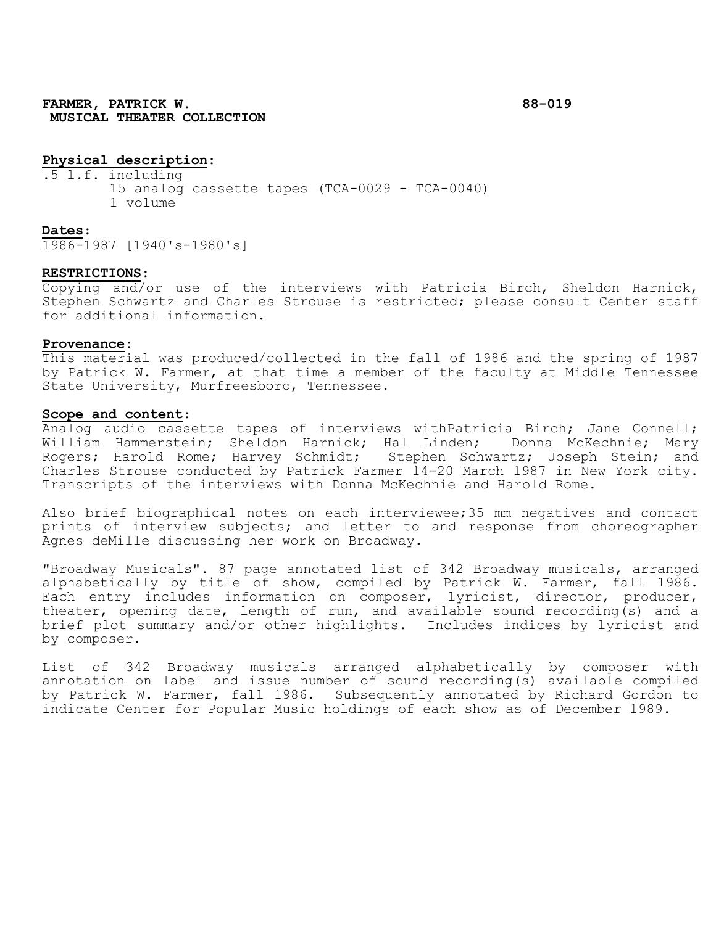# **Physical description**:

.5 l.f. including 15 analog cassette tapes (TCA-0029 - TCA-0040) 1 volume

#### **Dates**:

1986-1987 [1940's-1980's]

### **RESTRICTIONS**:

Copying and/or use of the interviews with Patricia Birch, Sheldon Harnick, Stephen Schwartz and Charles Strouse is restricted; please consult Center staff for additional information.

#### **Provenance**:

This material was produced/collected in the fall of 1986 and the spring of 1987 by Patrick W. Farmer, at that time a member of the faculty at Middle Tennessee State University, Murfreesboro, Tennessee.

## **Scope and content**:

Analog audio cassette tapes of interviews withPatricia Birch; Jane Connell; William Hammerstein; Sheldon Harnick; Hal Linden; Donna McKechnie; Mary Rogers; Harold Rome; Harvey Schmidt; Stephen Schwartz; Joseph Stein; and Charles Strouse conducted by Patrick Farmer 14-20 March 1987 in New York city. Transcripts of the interviews with Donna McKechnie and Harold Rome.

Also brief biographical notes on each interviewee;35 mm negatives and contact prints of interview subjects; and letter to and response from choreographer Agnes deMille discussing her work on Broadway.

"Broadway Musicals". 87 page annotated list of 342 Broadway musicals, arranged alphabetically by title of show, compiled by Patrick W. Farmer, fall 1986. Each entry includes information on composer, lyricist, director, producer, theater, opening date, length of run, and available sound recording(s) and a brief plot summary and/or other highlights. Includes indices by lyricist and by composer.

List of 342 Broadway musicals arranged alphabetically by composer with annotation on label and issue number of sound recording(s) available compiled by Patrick W. Farmer, fall 1986. Subsequently annotated by Richard Gordon to indicate Center for Popular Music holdings of each show as of December 1989.